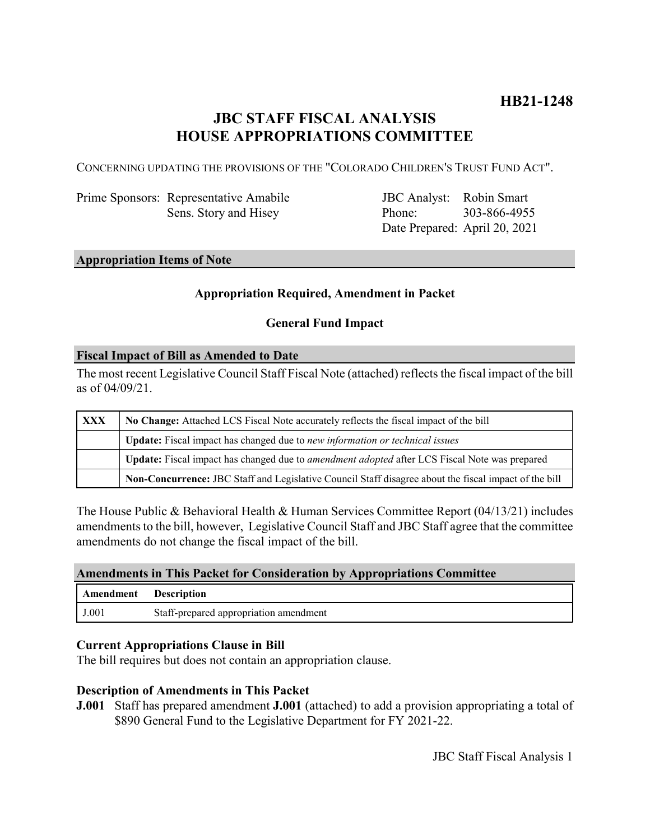# **JBC STAFF FISCAL ANALYSIS HOUSE APPROPRIATIONS COMMITTEE**

CONCERNING UPDATING THE PROVISIONS OF THE "COLORADO CHILDREN'S TRUST FUND ACT".

Prime Sponsors: Representative Amabile Sens. Story and Hisey

JBC Analyst: Robin Smart Phone: Date Prepared: April 20, 2021 303-866-4955

# **Appropriation Items of Note**

### **Appropriation Required, Amendment in Packet**

# **General Fund Impact**

#### **Fiscal Impact of Bill as Amended to Date**

The most recent Legislative Council Staff Fiscal Note (attached) reflects the fiscal impact of the bill as of 04/09/21.

| XXX | No Change: Attached LCS Fiscal Note accurately reflects the fiscal impact of the bill                 |
|-----|-------------------------------------------------------------------------------------------------------|
|     | Update: Fiscal impact has changed due to new information or technical issues                          |
|     | Update: Fiscal impact has changed due to <i>amendment adopted</i> after LCS Fiscal Note was prepared  |
|     | Non-Concurrence: JBC Staff and Legislative Council Staff disagree about the fiscal impact of the bill |

The House Public & Behavioral Health & Human Services Committee Report (04/13/21) includes amendments to the bill, however, Legislative Council Staff and JBC Staff agree that the committee amendments do not change the fiscal impact of the bill.

#### **Amendments in This Packet for Consideration by Appropriations Committee**

| Amendment | <b>Description</b>                     |
|-----------|----------------------------------------|
| J.001     | Staff-prepared appropriation amendment |

### **Current Appropriations Clause in Bill**

The bill requires but does not contain an appropriation clause.

### **Description of Amendments in This Packet**

**J.001** Staff has prepared amendment **J.001** (attached) to add a provision appropriating a total of \$890 General Fund to the Legislative Department for FY 2021-22.